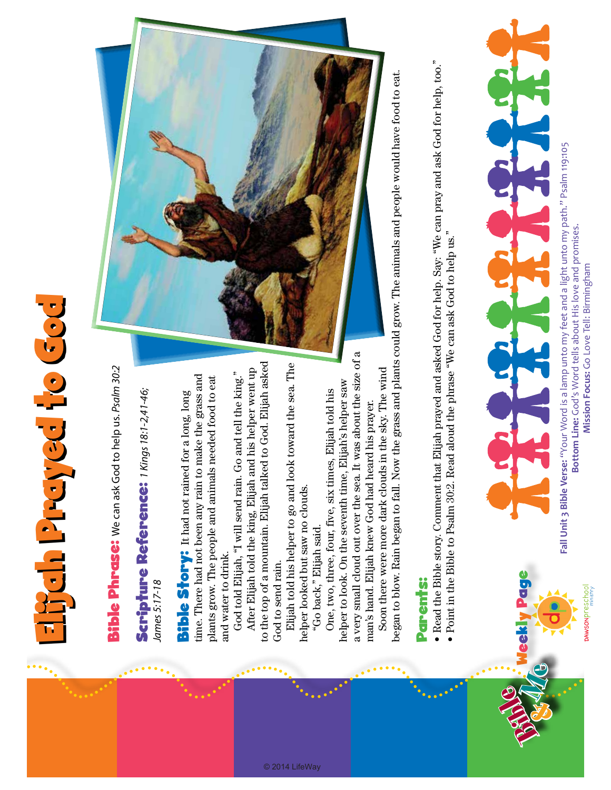## Elijah Prayed to God **Experiency conditions**

**Bible Phrase:** We can ask God to help us. Psalm 30:2 Bible Phrase: We can ask God to help us. *Psalm 30:2*

## Scripture Reference: 1Kings 18:1-2,41-46; Scripture Reference: *1 Kings 18:1-2,41-46;*  James 5:17-18 *James 5:17-18*

time. There had not been any rain to make the grass and time. There had not been any rain to make the grass and plants grow. The people and animals needed food to eat plants grow. The people and animals needed food to eat **Bible Story:** It had not rained for a long, long Bible Story: It had not rained for a long, long and water to drink. and water to drink.

to the top of a mountain. Elijah talked to God. Elijah asked o the top of a mountain. Elijah talked to God. Elijah asked After Elijah told the king, Elijah and his helper went up After Elijah told the king, Elijah and his helper went up God told Elijah, "I will send rain. Go and tell the king." God told Elijah, "I will send rain. Go and tell the king." God to send rain. God to send rain.

Elijah told his helper to go and look toward the sea. The Elijah told his helper to go and look toward the sea. The helper looked but saw no clouds. helper looked but saw no clouds. "Go back," Elijah said.

a very small cloud out over the sea. It was about the size of a a very small cloud out over the sea. It was about the size of a helper to look. On the seventh time, Elijah's helper saw helper to look. On the seventh time, Elijah's helper saw One, two, three, four, five, six times, Elijah told his One, two, three, four, five, six times, Elijah told his man's hand. Elijah knew God had heard his prayer. man's hand. Elijah knew God had heard his prayer. "Go back," Elijah said.

Soon there were more dark clouds in the sky. The wind Soon there were more dark clouds in the sky. The wind

began to blow. Rain began to fall. Now the grass and plants could grow. The animals and people would have food to eat. began to blow. Rain began to fall. Now the grass and plants could grow. The animals and people would have food to eat.

## Parents: **Parents:**

- Read the Bible story. Comment that Elijah prayed and asked God for help. Say: "We can pray and ask God for help, too." Read the Bible story. Comment that Elijah prayed and asked God for help. Say: "We can pray and ask God for help, too."
	- Point in the Bible to Psalm 30:2. Read aloud the phrase "We can ask God to help us." Point in the Bible to Psalm 30:2. Read aloud the phrase "We can ask God to help us."



Fall Unit 3 Bible Verse: "Your Word is a lamp unto my feet and a light unto my path." Psalm 119:105 **Fall Unit 3 Bible Verse:** "Your Word is a lamp unto my feet and a light unto my path." Psalm 119:105 Bottom Line: God's Word tells about His love and promises. **Bottom Line:** God's Word tells about His love and promises. Mission Focus: Go Love Tell: Birmingham **Mission Focus:** Go Love Tell: Birmingham

DAWSONPreschool

Weekly Page

Bible &